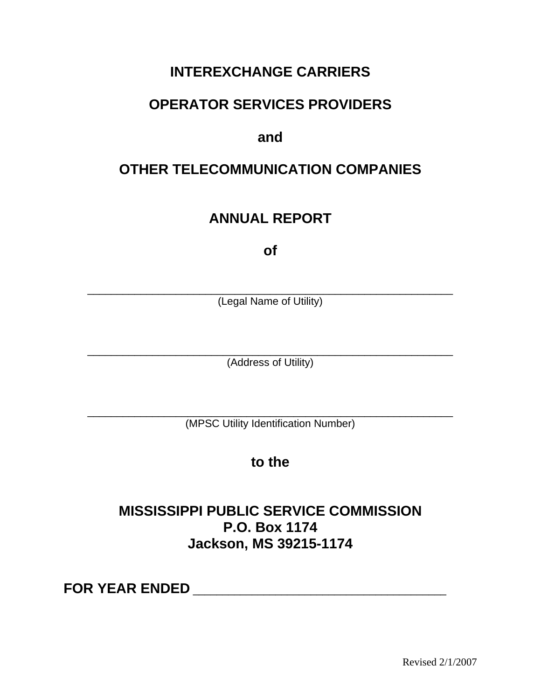## **INTEREXCHANGE CARRIERS**

## **OPERATOR SERVICES PROVIDERS**

### **and**

## **OTHER TELECOMMUNICATION COMPANIES**

## **ANNUAL REPORT**

**of** 

\_\_\_\_\_\_\_\_\_\_\_\_\_\_\_\_\_\_\_\_\_\_\_\_\_\_\_\_\_\_\_\_\_\_\_\_\_\_\_\_\_\_\_\_\_\_\_\_\_\_\_\_\_\_\_\_\_\_\_\_\_\_ (Legal Name of Utility)

\_\_\_\_\_\_\_\_\_\_\_\_\_\_\_\_\_\_\_\_\_\_\_\_\_\_\_\_\_\_\_\_\_\_\_\_\_\_\_\_\_\_\_\_\_\_\_\_\_\_\_\_\_\_\_\_\_\_\_\_\_\_ (Address of Utility)

\_\_\_\_\_\_\_\_\_\_\_\_\_\_\_\_\_\_\_\_\_\_\_\_\_\_\_\_\_\_\_\_\_\_\_\_\_\_\_\_\_\_\_\_\_\_\_\_\_\_\_\_\_\_\_\_\_\_\_\_\_\_ (MPSC Utility Identification Number)

### **to the**

### **MISSISSIPPI PUBLIC SERVICE COMMISSION P.O. Box 1174 Jackson, MS 39215-1174**

**FOR YEAR ENDED** \_\_\_\_\_\_\_\_\_\_\_\_\_\_\_\_\_\_\_\_\_\_\_\_\_\_\_\_\_\_\_\_\_\_\_\_\_\_\_\_\_\_\_

Revised 2/1/2007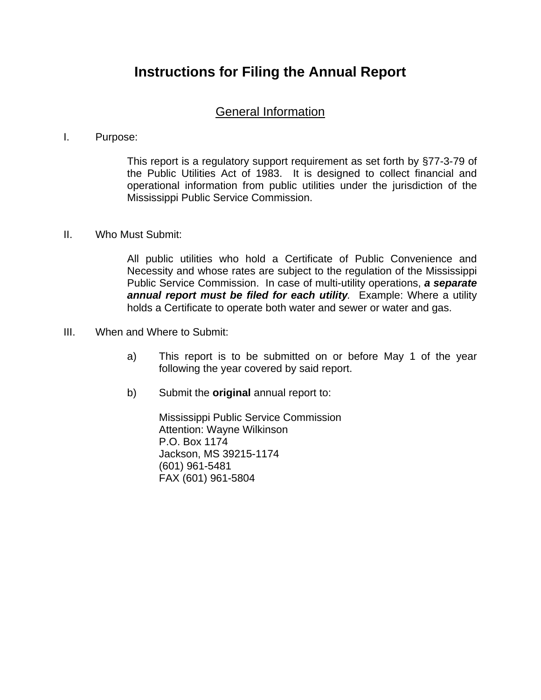### **Instructions for Filing the Annual Report**

#### General Information

#### I. Purpose:

This report is a regulatory support requirement as set forth by §77-3-79 of the Public Utilities Act of 1983. It is designed to collect financial and operational information from public utilities under the jurisdiction of the Mississippi Public Service Commission.

#### II. Who Must Submit:

All public utilities who hold a Certificate of Public Convenience and Necessity and whose rates are subject to the regulation of the Mississippi Public Service Commission. In case of multi-utility operations, *a separate annual report must be filed for each utility.* Example: Where a utility holds a Certificate to operate both water and sewer or water and gas.

- III. When and Where to Submit:
	- a) This report is to be submitted on or before May 1 of the year following the year covered by said report.
	- b) Submit the **original** annual report to:

Mississippi Public Service Commission Attention: Wayne Wilkinson P.O. Box 1174 Jackson, MS 39215-1174 (601) 961-5481 FAX (601) 961-5804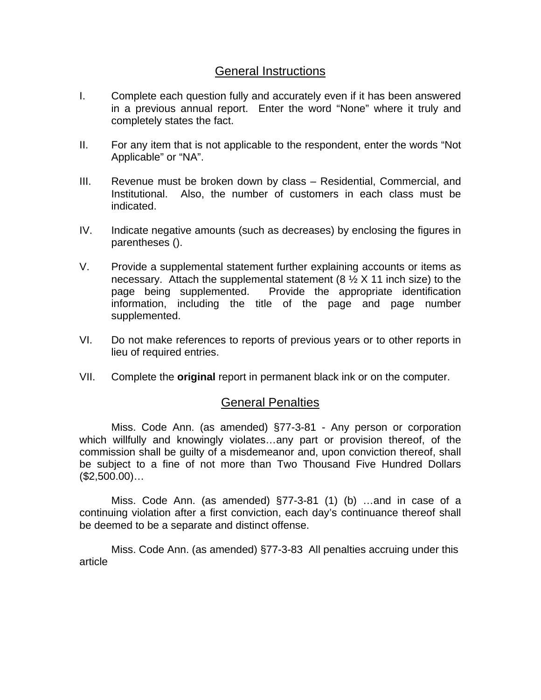#### General Instructions

- I. Complete each question fully and accurately even if it has been answered in a previous annual report. Enter the word "None" where it truly and completely states the fact.
- II. For any item that is not applicable to the respondent, enter the words "Not Applicable" or "NA".
- III. Revenue must be broken down by class Residential, Commercial, and Institutional. Also, the number of customers in each class must be indicated.
- IV. Indicate negative amounts (such as decreases) by enclosing the figures in parentheses ().
- V. Provide a supplemental statement further explaining accounts or items as necessary. Attach the supplemental statement  $(8 \frac{1}{2} X 11)$  inch size) to the page being supplemented. Provide the appropriate identification information, including the title of the page and page number supplemented.
- VI. Do not make references to reports of previous years or to other reports in lieu of required entries.
- VII. Complete the **original** report in permanent black ink or on the computer.

#### General Penalties

 Miss. Code Ann. (as amended) §77-3-81 - Any person or corporation which willfully and knowingly violates…any part or provision thereof, of the commission shall be guilty of a misdemeanor and, upon conviction thereof, shall be subject to a fine of not more than Two Thousand Five Hundred Dollars  $($2,500.00)$ ...

 Miss. Code Ann. (as amended) §77-3-81 (1) (b) …and in case of a continuing violation after a first conviction, each day's continuance thereof shall be deemed to be a separate and distinct offense.

 Miss. Code Ann. (as amended) §77-3-83 All penalties accruing under this article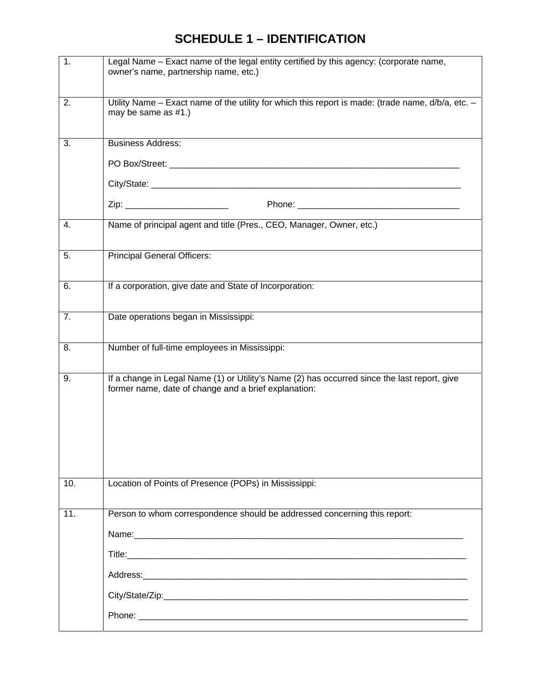### **SCHEDULE 1 – IDENTIFICATION**

| 1.  | Legal Name - Exact name of the legal entity certified by this agency: (corporate name,<br>owner's name, partnership name, etc.)                                                                                                |
|-----|--------------------------------------------------------------------------------------------------------------------------------------------------------------------------------------------------------------------------------|
| 2.  | Utility Name - Exact name of the utility for which this report is made: (trade name, d/b/a, etc. -<br>may be same as #1.)                                                                                                      |
| 3.  | <b>Business Address:</b>                                                                                                                                                                                                       |
|     |                                                                                                                                                                                                                                |
|     |                                                                                                                                                                                                                                |
|     |                                                                                                                                                                                                                                |
| 4.  | Name of principal agent and title (Pres., CEO, Manager, Owner, etc.)                                                                                                                                                           |
| 5.  | <b>Principal General Officers:</b>                                                                                                                                                                                             |
| 6.  | If a corporation, give date and State of Incorporation:                                                                                                                                                                        |
| 7.  | Date operations began in Mississippi:                                                                                                                                                                                          |
| 8.  | Number of full-time employees in Mississippi:                                                                                                                                                                                  |
| 9.  | If a change in Legal Name (1) or Utility's Name (2) has occurred since the last report, give<br>former name, date of change and a brief explanation:                                                                           |
| 10. | Location of Points of Presence (POPs) in Mississippi:                                                                                                                                                                          |
| 11. | Person to whom correspondence should be addressed concerning this report:                                                                                                                                                      |
|     |                                                                                                                                                                                                                                |
|     |                                                                                                                                                                                                                                |
|     | Address: Analysis and the state of the state of the state of the state of the state of the state of the state of the state of the state of the state of the state of the state of the state of the state of the state of the s |
|     |                                                                                                                                                                                                                                |
|     |                                                                                                                                                                                                                                |
|     |                                                                                                                                                                                                                                |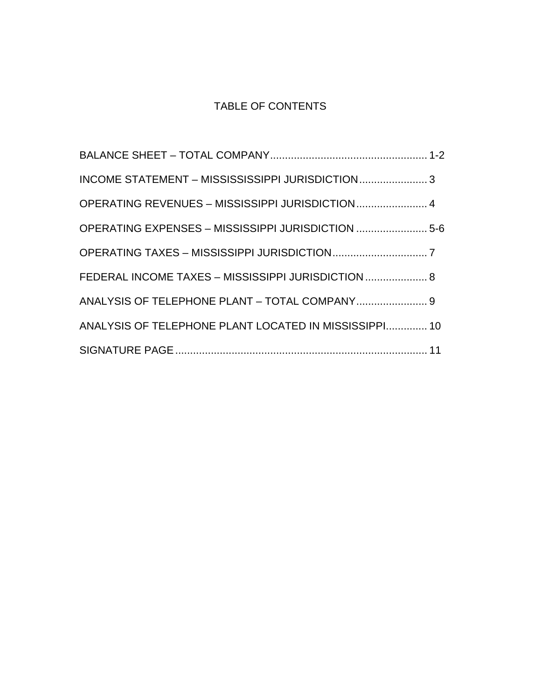### TABLE OF CONTENTS

| INCOME STATEMENT - MISSISSISSIPPI JURISDICTION 3      |  |
|-------------------------------------------------------|--|
| OPERATING REVENUES - MISSISSIPPI JURISDICTION 4       |  |
| OPERATING EXPENSES - MISSISSIPPI JURISDICTION  5-6    |  |
|                                                       |  |
| FEDERAL INCOME TAXES - MISSISSIPPI JURISDICTION  8    |  |
| ANALYSIS OF TELEPHONE PLANT - TOTAL COMPANY 9         |  |
| ANALYSIS OF TELEPHONE PLANT LOCATED IN MISSISSIPPI 10 |  |
|                                                       |  |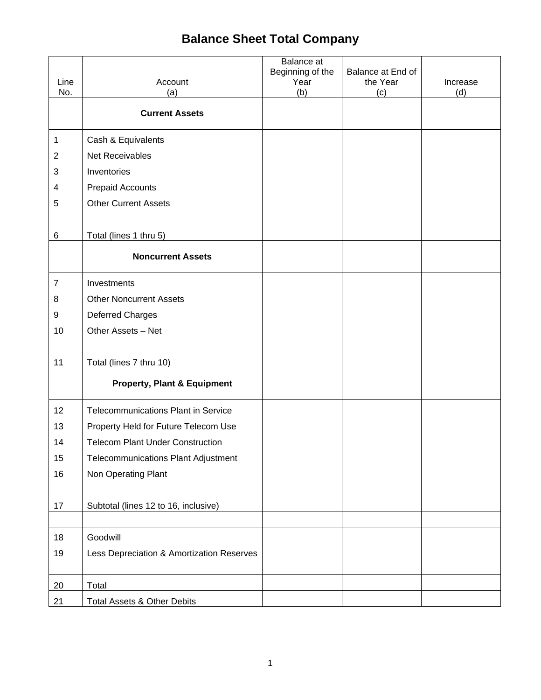## **Balance Sheet Total Company**

|                |                                            | Balance at<br>Beginning of the | Balance at End of |          |
|----------------|--------------------------------------------|--------------------------------|-------------------|----------|
| Line           | Account                                    | Year                           | the Year          | Increase |
| No.            | (a)                                        | (b)                            | (c)               | (d)      |
|                | <b>Current Assets</b>                      |                                |                   |          |
| $\mathbf 1$    | Cash & Equivalents                         |                                |                   |          |
| $\overline{c}$ | Net Receivables                            |                                |                   |          |
| 3              | Inventories                                |                                |                   |          |
| 4              | <b>Prepaid Accounts</b>                    |                                |                   |          |
| 5              | <b>Other Current Assets</b>                |                                |                   |          |
|                |                                            |                                |                   |          |
| $\,6$          | Total (lines 1 thru 5)                     |                                |                   |          |
|                | <b>Noncurrent Assets</b>                   |                                |                   |          |
| $\overline{7}$ | Investments                                |                                |                   |          |
| 8              | <b>Other Noncurrent Assets</b>             |                                |                   |          |
| 9              | <b>Deferred Charges</b>                    |                                |                   |          |
| 10             | Other Assets - Net                         |                                |                   |          |
|                |                                            |                                |                   |          |
| 11             | Total (lines 7 thru 10)                    |                                |                   |          |
|                | <b>Property, Plant &amp; Equipment</b>     |                                |                   |          |
| 12             | <b>Telecommunications Plant in Service</b> |                                |                   |          |
| 13             | Property Held for Future Telecom Use       |                                |                   |          |
| 14             | <b>Telecom Plant Under Construction</b>    |                                |                   |          |
| 15             | <b>Telecommunications Plant Adjustment</b> |                                |                   |          |
| 16             | Non Operating Plant                        |                                |                   |          |
|                |                                            |                                |                   |          |
| 17             | Subtotal (lines 12 to 16, inclusive)       |                                |                   |          |
|                |                                            |                                |                   |          |
| 18             | Goodwill                                   |                                |                   |          |
| 19             | Less Depreciation & Amortization Reserves  |                                |                   |          |
|                |                                            |                                |                   |          |
| 20             | Total                                      |                                |                   |          |
| 21             | <b>Total Assets &amp; Other Debits</b>     |                                |                   |          |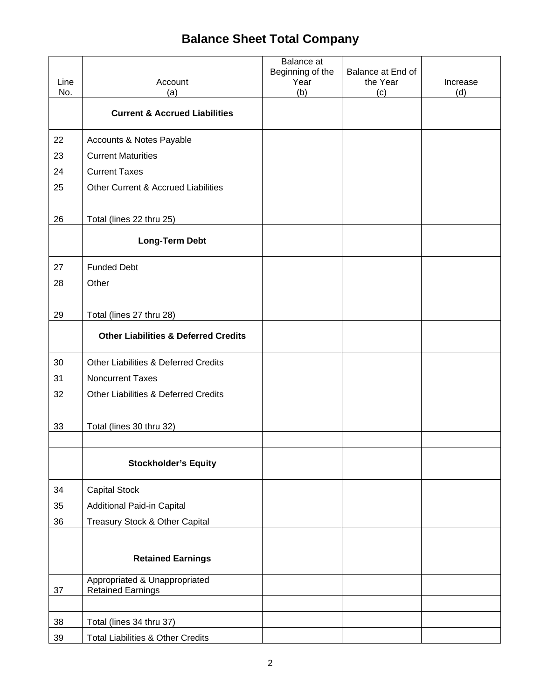## **Balance Sheet Total Company**

| Line<br>No. | Account<br>(a)                                            | Balance at<br>Beginning of the<br>Year<br>(b) | Balance at End of<br>the Year<br>(c) | Increase<br>(d) |
|-------------|-----------------------------------------------------------|-----------------------------------------------|--------------------------------------|-----------------|
|             | <b>Current &amp; Accrued Liabilities</b>                  |                                               |                                      |                 |
| 22          | Accounts & Notes Payable                                  |                                               |                                      |                 |
| 23          | <b>Current Maturities</b>                                 |                                               |                                      |                 |
| 24          | <b>Current Taxes</b>                                      |                                               |                                      |                 |
| 25          | Other Current & Accrued Liabilities                       |                                               |                                      |                 |
| 26          | Total (lines 22 thru 25)                                  |                                               |                                      |                 |
|             | <b>Long-Term Debt</b>                                     |                                               |                                      |                 |
| 27          | <b>Funded Debt</b>                                        |                                               |                                      |                 |
| 28          | Other                                                     |                                               |                                      |                 |
|             |                                                           |                                               |                                      |                 |
| 29          | Total (lines 27 thru 28)                                  |                                               |                                      |                 |
|             | <b>Other Liabilities &amp; Deferred Credits</b>           |                                               |                                      |                 |
| 30          | <b>Other Liabilities &amp; Deferred Credits</b>           |                                               |                                      |                 |
| 31          | <b>Noncurrent Taxes</b>                                   |                                               |                                      |                 |
| 32          | <b>Other Liabilities &amp; Deferred Credits</b>           |                                               |                                      |                 |
|             |                                                           |                                               |                                      |                 |
| 33          | Total (lines 30 thru 32)                                  |                                               |                                      |                 |
|             |                                                           |                                               |                                      |                 |
|             | <b>Stockholder's Equity</b>                               |                                               |                                      |                 |
| 34          | <b>Capital Stock</b>                                      |                                               |                                      |                 |
| 35          | Additional Paid-in Capital                                |                                               |                                      |                 |
| 36          | <b>Treasury Stock &amp; Other Capital</b>                 |                                               |                                      |                 |
|             |                                                           |                                               |                                      |                 |
|             | <b>Retained Earnings</b>                                  |                                               |                                      |                 |
| 37          | Appropriated & Unappropriated<br><b>Retained Earnings</b> |                                               |                                      |                 |
|             |                                                           |                                               |                                      |                 |
| 38          | Total (lines 34 thru 37)                                  |                                               |                                      |                 |
| 39          | Total Liabilities & Other Credits                         |                                               |                                      |                 |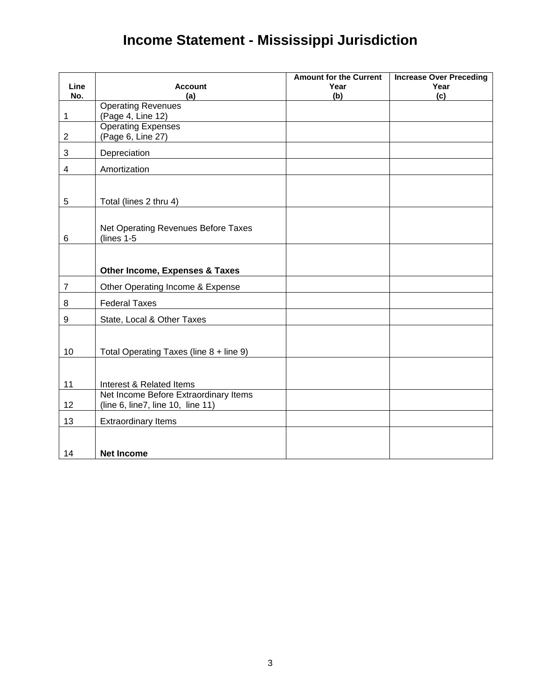# **Income Statement - Mississippi Jurisdiction**

|                |                                                                            | <b>Amount for the Current</b> | <b>Increase Over Preceding</b> |
|----------------|----------------------------------------------------------------------------|-------------------------------|--------------------------------|
| Line<br>No.    | <b>Account</b><br>(a)                                                      | Year<br>(b)                   | Year<br>(c)                    |
|                | <b>Operating Revenues</b>                                                  |                               |                                |
| 1              | (Page 4, Line 12)                                                          |                               |                                |
| $\overline{2}$ | <b>Operating Expenses</b>                                                  |                               |                                |
|                | (Page 6, Line 27)                                                          |                               |                                |
| $\mathbf{3}$   | Depreciation                                                               |                               |                                |
| 4              | Amortization                                                               |                               |                                |
|                |                                                                            |                               |                                |
| $\overline{5}$ | Total (lines 2 thru 4)                                                     |                               |                                |
|                |                                                                            |                               |                                |
| 6              | Net Operating Revenues Before Taxes<br>$(lines 1-5)$                       |                               |                                |
|                |                                                                            |                               |                                |
|                | <b>Other Income, Expenses &amp; Taxes</b>                                  |                               |                                |
| $\overline{7}$ | Other Operating Income & Expense                                           |                               |                                |
| 8              | <b>Federal Taxes</b>                                                       |                               |                                |
| 9              | State, Local & Other Taxes                                                 |                               |                                |
|                |                                                                            |                               |                                |
| 10             | Total Operating Taxes (line 8 + line 9)                                    |                               |                                |
|                |                                                                            |                               |                                |
| 11             | Interest & Related Items                                                   |                               |                                |
| 12             | Net Income Before Extraordinary Items<br>(line 6, line7, line 10, line 11) |                               |                                |
| 13             | <b>Extraordinary Items</b>                                                 |                               |                                |
|                |                                                                            |                               |                                |
| 14             | <b>Net Income</b>                                                          |                               |                                |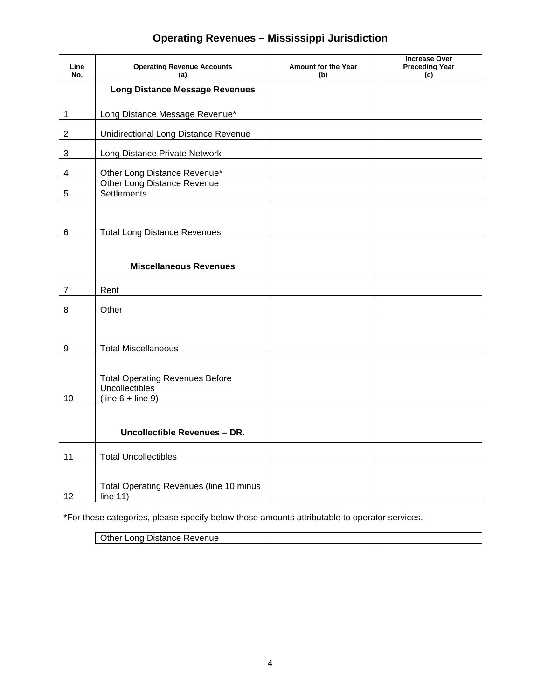### **Operating Revenues – Mississippi Jurisdiction**

| Line<br>No.      | <b>Operating Revenue Accounts</b><br>(a)                                        | Amount for the Year<br>(b) | <b>Increase Over</b><br><b>Preceding Year</b><br>(c) |
|------------------|---------------------------------------------------------------------------------|----------------------------|------------------------------------------------------|
|                  | <b>Long Distance Message Revenues</b>                                           |                            |                                                      |
| 1                | Long Distance Message Revenue*                                                  |                            |                                                      |
| $\overline{2}$   | <b>Unidirectional Long Distance Revenue</b>                                     |                            |                                                      |
| 3                | Long Distance Private Network                                                   |                            |                                                      |
| 4                | Other Long Distance Revenue*<br>Other Long Distance Revenue                     |                            |                                                      |
| 5                | Settlements                                                                     |                            |                                                      |
|                  |                                                                                 |                            |                                                      |
| 6                | <b>Total Long Distance Revenues</b>                                             |                            |                                                      |
|                  |                                                                                 |                            |                                                      |
|                  | <b>Miscellaneous Revenues</b>                                                   |                            |                                                      |
| 7                | Rent                                                                            |                            |                                                      |
| 8                | Other                                                                           |                            |                                                      |
|                  |                                                                                 |                            |                                                      |
| $\boldsymbol{9}$ | <b>Total Miscellaneous</b>                                                      |                            |                                                      |
| 10               | <b>Total Operating Revenues Before</b><br>Uncollectibles<br>$(line 6 + line 9)$ |                            |                                                      |
|                  | Uncollectible Revenues - DR.                                                    |                            |                                                      |
| 11               | <b>Total Uncollectibles</b>                                                     |                            |                                                      |
| 12               | Total Operating Revenues (line 10 minus<br>line $11)$                           |                            |                                                      |

\*For these categories, please specify below those amounts attributable to operator services.

| Other Long Distance Revenue |  |
|-----------------------------|--|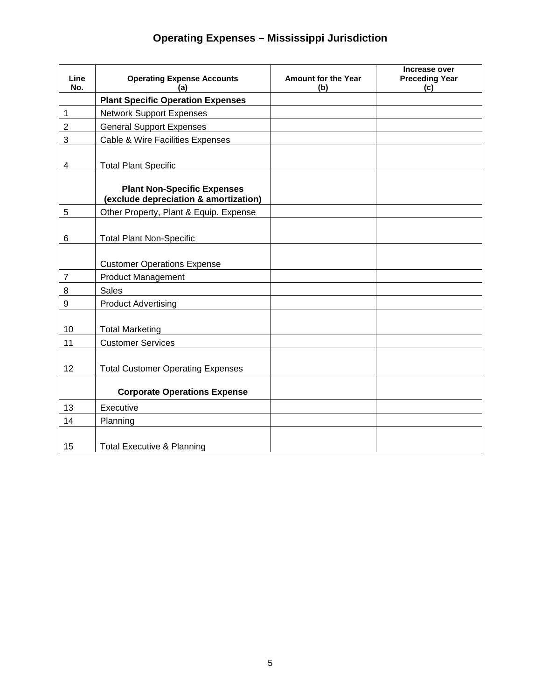### **Operating Expenses – Mississippi Jurisdiction**

| Line           | <b>Operating Expense Accounts</b>                                           | <b>Amount for the Year</b> | Increase over<br><b>Preceding Year</b> |
|----------------|-----------------------------------------------------------------------------|----------------------------|----------------------------------------|
| No.            | (a)                                                                         | (b)                        | (c)                                    |
|                | <b>Plant Specific Operation Expenses</b>                                    |                            |                                        |
| $\mathbf 1$    | <b>Network Support Expenses</b>                                             |                            |                                        |
| $\mathbf 2$    | <b>General Support Expenses</b>                                             |                            |                                        |
| 3              | Cable & Wire Facilities Expenses                                            |                            |                                        |
|                |                                                                             |                            |                                        |
| 4              | <b>Total Plant Specific</b>                                                 |                            |                                        |
|                |                                                                             |                            |                                        |
|                | <b>Plant Non-Specific Expenses</b><br>(exclude depreciation & amortization) |                            |                                        |
| 5              | Other Property, Plant & Equip. Expense                                      |                            |                                        |
|                |                                                                             |                            |                                        |
| 6              | <b>Total Plant Non-Specific</b>                                             |                            |                                        |
|                |                                                                             |                            |                                        |
|                | <b>Customer Operations Expense</b>                                          |                            |                                        |
| $\overline{7}$ | <b>Product Management</b>                                                   |                            |                                        |
| 8              | <b>Sales</b>                                                                |                            |                                        |
| 9              | <b>Product Advertising</b>                                                  |                            |                                        |
|                |                                                                             |                            |                                        |
| 10             | <b>Total Marketing</b>                                                      |                            |                                        |
| 11             | <b>Customer Services</b>                                                    |                            |                                        |
|                |                                                                             |                            |                                        |
| 12             | <b>Total Customer Operating Expenses</b>                                    |                            |                                        |
|                |                                                                             |                            |                                        |
|                | <b>Corporate Operations Expense</b>                                         |                            |                                        |
| 13             | Executive                                                                   |                            |                                        |
| 14             | Planning                                                                    |                            |                                        |
|                |                                                                             |                            |                                        |
| 15             | <b>Total Executive &amp; Planning</b>                                       |                            |                                        |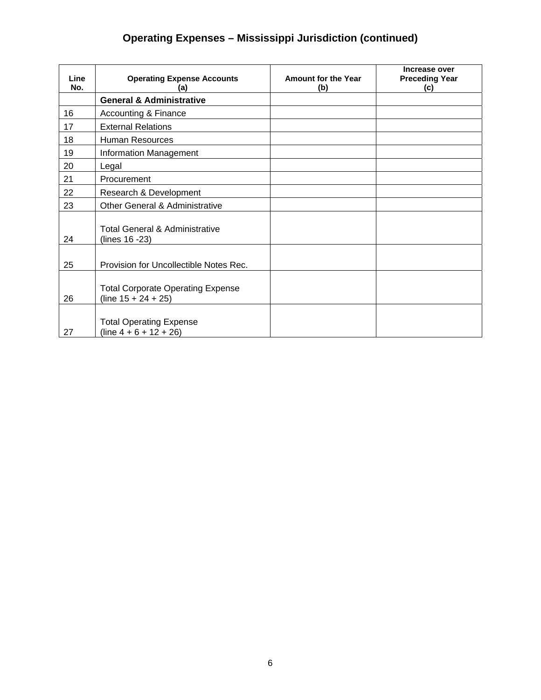### **Operating Expenses – Mississippi Jurisdiction (continued)**

| Line<br>No. | <b>Operating Expense Accounts</b><br>(a)                           | <b>Amount for the Year</b><br>(b) | Increase over<br><b>Preceding Year</b><br>(c) |
|-------------|--------------------------------------------------------------------|-----------------------------------|-----------------------------------------------|
|             | <b>General &amp; Administrative</b>                                |                                   |                                               |
| 16          | <b>Accounting &amp; Finance</b>                                    |                                   |                                               |
| 17          | <b>External Relations</b>                                          |                                   |                                               |
| 18          | <b>Human Resources</b>                                             |                                   |                                               |
| 19          | Information Management                                             |                                   |                                               |
| 20          | Legal                                                              |                                   |                                               |
| 21          | Procurement                                                        |                                   |                                               |
| 22          | Research & Development                                             |                                   |                                               |
| 23          | <b>Other General &amp; Administrative</b>                          |                                   |                                               |
| 24          | Total General & Administrative<br>(lines 16 -23)                   |                                   |                                               |
| 25          | Provision for Uncollectible Notes Rec.                             |                                   |                                               |
| 26          | <b>Total Corporate Operating Expense</b><br>(line $15 + 24 + 25$ ) |                                   |                                               |
| 27          | <b>Total Operating Expense</b><br>$(line 4 + 6 + 12 + 26)$         |                                   |                                               |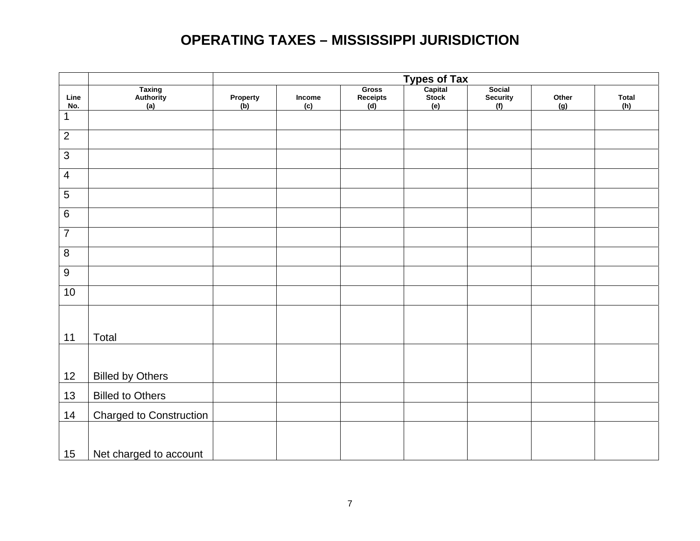## **OPERATING TAXES – MISSISSIPPI JURISDICTION**

| Line<br>No.    | Taxing<br>Authority<br>(a)     | Property<br>(b) | Income<br>(c) | <b>Gross</b><br>Receipts<br>(d) | Types of Tax<br>Capital<br>Stock<br>(e) | Social<br><b>Security</b><br>(f) | Other<br>(g) | <b>Total</b><br>(h) |
|----------------|--------------------------------|-----------------|---------------|---------------------------------|-----------------------------------------|----------------------------------|--------------|---------------------|
| 1              |                                |                 |               |                                 |                                         |                                  |              |                     |
| $\overline{2}$ |                                |                 |               |                                 |                                         |                                  |              |                     |
| $\overline{3}$ |                                |                 |               |                                 |                                         |                                  |              |                     |
| $\overline{4}$ |                                |                 |               |                                 |                                         |                                  |              |                     |
| $\overline{5}$ |                                |                 |               |                                 |                                         |                                  |              |                     |
| $\,6\,$        |                                |                 |               |                                 |                                         |                                  |              |                     |
| $\overline{7}$ |                                |                 |               |                                 |                                         |                                  |              |                     |
| $\overline{8}$ |                                |                 |               |                                 |                                         |                                  |              |                     |
| $\overline{9}$ |                                |                 |               |                                 |                                         |                                  |              |                     |
| 10             |                                |                 |               |                                 |                                         |                                  |              |                     |
|                |                                |                 |               |                                 |                                         |                                  |              |                     |
| 11             | Total                          |                 |               |                                 |                                         |                                  |              |                     |
|                |                                |                 |               |                                 |                                         |                                  |              |                     |
| 12             | <b>Billed by Others</b>        |                 |               |                                 |                                         |                                  |              |                     |
| 13             | <b>Billed to Others</b>        |                 |               |                                 |                                         |                                  |              |                     |
| 14             | <b>Charged to Construction</b> |                 |               |                                 |                                         |                                  |              |                     |
|                |                                |                 |               |                                 |                                         |                                  |              |                     |
| 15             | Net charged to account         |                 |               |                                 |                                         |                                  |              |                     |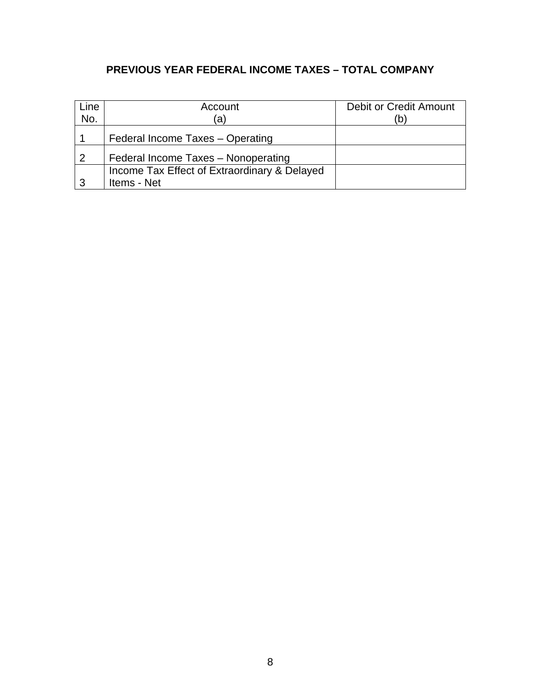### **PREVIOUS YEAR FEDERAL INCOME TAXES – TOTAL COMPANY**

| Line | Account                                                     | Debit or Credit Amount |
|------|-------------------------------------------------------------|------------------------|
| No.  | (a)                                                         | 'b                     |
|      | Federal Income Taxes - Operating                            |                        |
| -2   | Federal Income Taxes - Nonoperating                         |                        |
| 3    | Income Tax Effect of Extraordinary & Delayed<br>Items - Net |                        |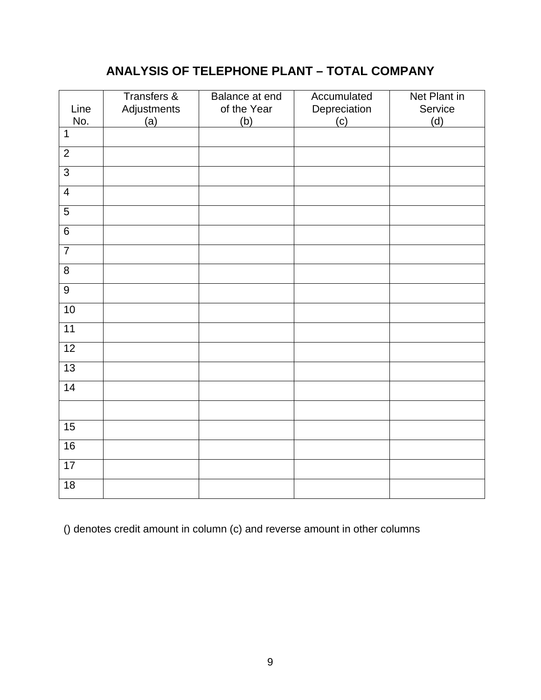### **ANALYSIS OF TELEPHONE PLANT – TOTAL COMPANY**

| Line<br>No.    | Transfers &<br>Adjustments<br>(a) | Balance at end<br>of the Year<br>(b) | Accumulated<br>Depreciation<br>(c) | Net Plant in<br>Service<br>(d) |
|----------------|-----------------------------------|--------------------------------------|------------------------------------|--------------------------------|
| $\mathbf{1}$   |                                   |                                      |                                    |                                |
| $\overline{2}$ |                                   |                                      |                                    |                                |
| $\overline{3}$ |                                   |                                      |                                    |                                |
| $\overline{4}$ |                                   |                                      |                                    |                                |
| $\overline{5}$ |                                   |                                      |                                    |                                |
| $\overline{6}$ |                                   |                                      |                                    |                                |
| $\overline{7}$ |                                   |                                      |                                    |                                |
| $\overline{8}$ |                                   |                                      |                                    |                                |
| $\overline{9}$ |                                   |                                      |                                    |                                |
| 10             |                                   |                                      |                                    |                                |
| 11             |                                   |                                      |                                    |                                |
| 12             |                                   |                                      |                                    |                                |
| 13             |                                   |                                      |                                    |                                |
| 14             |                                   |                                      |                                    |                                |
|                |                                   |                                      |                                    |                                |
| 15             |                                   |                                      |                                    |                                |
| 16             |                                   |                                      |                                    |                                |
| 17             |                                   |                                      |                                    |                                |
| 18             |                                   |                                      |                                    |                                |

() denotes credit amount in column (c) and reverse amount in other columns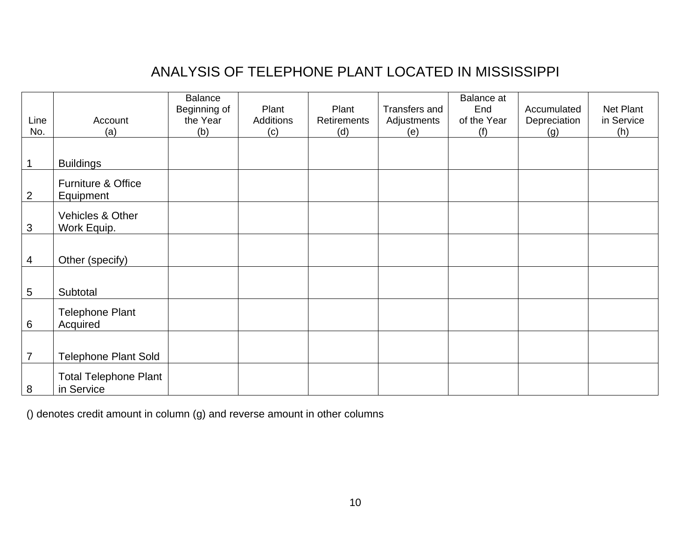# ANALYSIS OF TELEPHONE PLANT LOCATED IN MISSISSIPPI

|                |                              | <b>Balance</b> |           |             |               | <b>Balance</b> at |              |            |
|----------------|------------------------------|----------------|-----------|-------------|---------------|-------------------|--------------|------------|
|                |                              | Beginning of   | Plant     | Plant       | Transfers and | End               | Accumulated  | Net Plant  |
| Line           | Account                      | the Year       | Additions | Retirements | Adjustments   | of the Year       | Depreciation | in Service |
| No.            | (a)                          | (b)            | (c)       | (d)         | (e)           | (f)               | (g)          | (h)        |
|                |                              |                |           |             |               |                   |              |            |
| 1              | <b>Buildings</b>             |                |           |             |               |                   |              |            |
|                | Furniture & Office           |                |           |             |               |                   |              |            |
| $\overline{2}$ | Equipment                    |                |           |             |               |                   |              |            |
|                | Vehicles & Other             |                |           |             |               |                   |              |            |
| $\mathfrak{S}$ | Work Equip.                  |                |           |             |               |                   |              |            |
|                |                              |                |           |             |               |                   |              |            |
| 4              | Other (specify)              |                |           |             |               |                   |              |            |
|                |                              |                |           |             |               |                   |              |            |
| 5              | Subtotal                     |                |           |             |               |                   |              |            |
|                | <b>Telephone Plant</b>       |                |           |             |               |                   |              |            |
| 6              | Acquired                     |                |           |             |               |                   |              |            |
|                |                              |                |           |             |               |                   |              |            |
| $\overline{7}$ | <b>Telephone Plant Sold</b>  |                |           |             |               |                   |              |            |
|                | <b>Total Telephone Plant</b> |                |           |             |               |                   |              |            |
| 8              | in Service                   |                |           |             |               |                   |              |            |

() denotes credit amount in column (g) and reverse amount in other columns